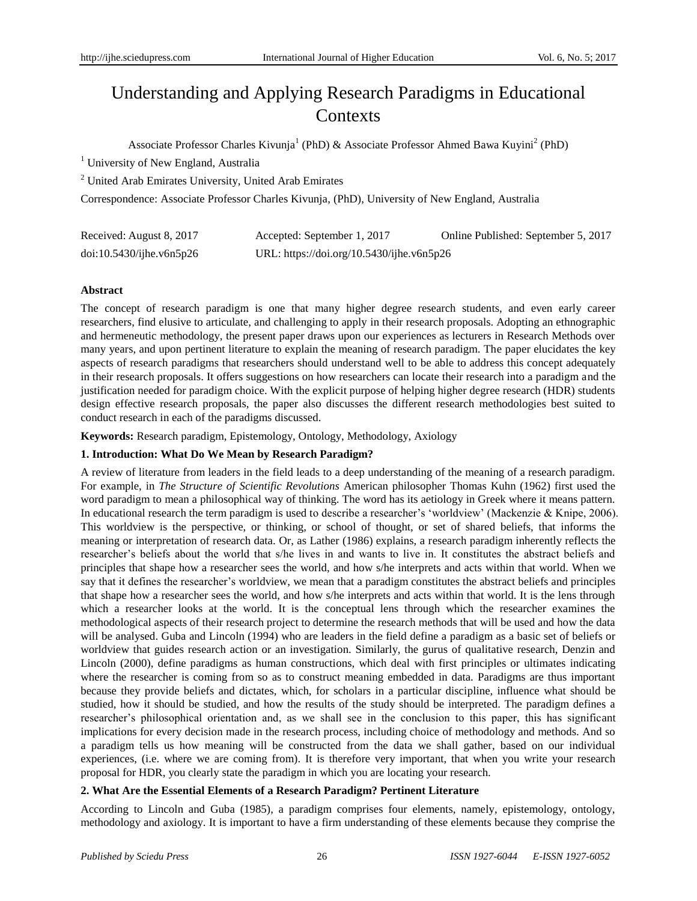# Understanding and Applying Research Paradigms in Educational Contexts

Associate Professor Charles Kivunja<sup>1</sup> (PhD) & Associate Professor Ahmed Bawa Kuyini<sup>2</sup> (PhD)

 $<sup>1</sup>$  University of New England, Australia</sup>

<sup>2</sup> United Arab Emirates University, United Arab Emirates

[Correspondence:](mailto:akuyini@uaeu.ac.ae) Associate Professor Charles Kivunja, (PhD), University of New England, Australia

| Received: August 8, 2017    | Accepted: September 1, 2017               | Online Published: September 5, 2017 |
|-----------------------------|-------------------------------------------|-------------------------------------|
| $doi:10.5430/ij$ he.v6n5p26 | URL: https://doi.org/10.5430/ijhe.v6n5p26 |                                     |

# **Abstract**

The concept of research paradigm is one that many higher degree research students, and even early career researchers, find elusive to articulate, and challenging to apply in their research proposals. Adopting an ethnographic and hermeneutic methodology, the present paper draws upon our experiences as lecturers in Research Methods over many years, and upon pertinent literature to explain the meaning of research paradigm. The paper elucidates the key aspects of research paradigms that researchers should understand well to be able to address this concept adequately in their research proposals. It offers suggestions on how researchers can locate their research into a paradigm and the justification needed for paradigm choice. With the explicit purpose of helping higher degree research (HDR) students design effective research proposals, the paper also discusses the different research methodologies best suited to conduct research in each of the paradigms discussed.

**Keywords:** Research paradigm, Epistemology, Ontology, Methodology, Axiology

# **1. Introduction: What Do We Mean by Research Paradigm?**

A review of literature from leaders in the field leads to a deep understanding of the meaning of a research paradigm. For example, in *[The Structure of Scientific Revolutions](http://projektintegracija.pravo.hr/_download/repository/Kuhn_Structure_of_Scientific_Revolutions.pdf)* American philosopher Thomas Kuhn (1962) first used the word paradigm to mean a philosophical way of thinking. The word has its aetiology in Greek where it means pattern. In educational research the term paradigm is used to describe a researcher's 'worldview' (Mackenzie & Knipe, 2006). This worldview is the perspective, or thinking, or school of thought, or set of shared beliefs, that informs the meaning or interpretation of research data. Or, as Lather (1986) explains, a research paradigm inherently reflects the researcher's beliefs about the world that s/he lives in and wants to live in. It constitutes the abstract beliefs and principles that shape how a researcher sees the world, and how s/he interprets and acts within that world. When we say that it defines the researcher's worldview, we mean that a paradigm constitutes the abstract beliefs and principles that shape how a researcher sees the world, and how s/he interprets and acts within that world. It is the lens through which a researcher looks at the world. It is the conceptual lens through which the researcher examines the methodological aspects of their research project to determine the research methods that will be used and how the data will be analysed. Guba and Lincoln (1994) who are leaders in the field define a paradigm as a basic set of beliefs or worldview that guides research action or an investigation. Similarly, the gurus of qualitative research, Denzin and Lincoln (2000), define paradigms as human constructions, which deal with first principles or ultimates indicating where the researcher is coming from so as to construct meaning embedded in data. Paradigms are thus important because they provide beliefs and dictates, which, for scholars in a particular discipline, influence what should be studied, how it should be studied, and how the results of the study should be interpreted. The paradigm defines a researcher's philosophical orientation and, as we shall see in the conclusion to this paper, this has significant implications for every decision made in the research process, including choice of methodology and methods. And so a paradigm tells us how meaning will be constructed from the data we shall gather, based on our individual experiences, (i.e. where we are coming from). It is therefore very important, that when you write your research proposal for HDR, you clearly state the paradigm in which you are locating your research.

# **2. What Are the Essential Elements of a Research Paradigm? Pertinent Literature**

According to Lincoln and Guba (1985), a paradigm comprises four elements, namely, epistemology, ontology, methodology and axiology. It is important to have a firm understanding of these elements because they comprise the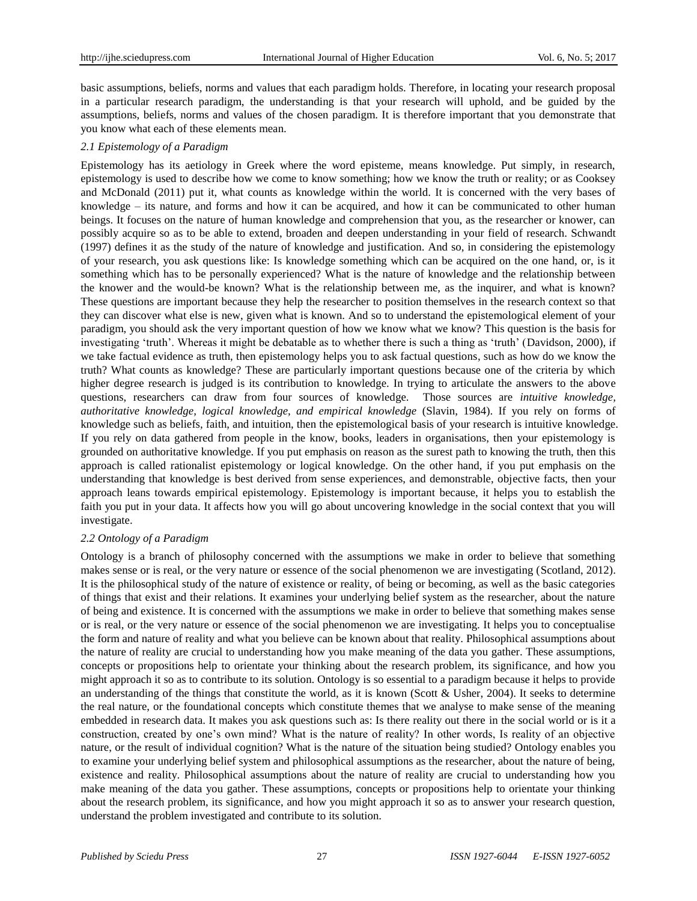basic assumptions, beliefs, norms and values that each paradigm holds. Therefore, in locating your research proposal in a particular research paradigm, the understanding is that your research will uphold, and be guided by the assumptions, beliefs, norms and values of the chosen paradigm. It is therefore important that you demonstrate that you know what each of these elements mean.

#### *2.1 Epistemology of a Paradigm*

Epistemology has its aetiology in Greek where the word episteme, means knowledge. Put simply, in research, epistemology is used to describe how we come to know something; how we know the truth or reality; or as Cooksey and McDonald (2011) put it, what counts as knowledge within the world. It is concerned with the very bases of knowledge – its nature, and forms and how it can be acquired, and how it can be communicated to other human beings. It focuses on the nature of human knowledge and comprehension that you, as the researcher or knower, can possibly acquire so as to be able to extend, broaden and deepen understanding in your field of research. Schwandt (1997) defines it as the study of the nature of knowledge and justification. And so, in considering the epistemology of your research, you ask questions like: Is knowledge something which can be acquired on the one hand, or, is it something which has to be personally experienced? What is the nature of knowledge and the relationship between the knower and the would-be known? What is the relationship between me, as the inquirer, and what is known? These questions are important because they help the researcher to position themselves in the research context so that they can discover what else is new, given what is known. And so to understand the epistemological element of your paradigm, you should ask the very important question of how we know what we know? This question is the basis for investigating 'truth'. Whereas it might be debatable as to whether there is such a thing as 'truth' (Davidson, 2000), if we take factual evidence as truth, then epistemology helps you to ask factual questions, such as how do we know the truth? What counts as knowledge? These are particularly important questions because one of the criteria by which higher degree research is judged is its contribution to knowledge. In trying to articulate the answers to the above questions, researchers can draw from four sources of knowledge. Those sources are *intuitive knowledge, authoritative knowledge, logical knowledge, and empirical knowledge* (Slavin, 1984). If you rely on forms of knowledge such as beliefs, faith, and intuition, then the epistemological basis of your research is intuitive knowledge. If you rely on data gathered from people in the know, books, leaders in organisations, then your epistemology is grounded on authoritative knowledge. If you put emphasis on reason as the surest path to knowing the truth, then this approach is called rationalist epistemology or logical knowledge. On the other hand, if you put emphasis on the understanding that knowledge is best derived from sense experiences, and demonstrable, objective facts, then your approach leans towards empirical epistemology. Epistemology is important because, it helps you to establish the faith you put in your data. It affects how you will go about uncovering knowledge in the social context that you will investigate.

#### *2.2 Ontology of a Paradigm*

Ontology is a branch of philosophy concerned with the assumptions we make in order to believe that something makes sense or is real, or the very nature or essence of the social phenomenon we are investigating (Scotland, 2012). It is the philosophical study of the nature of existence or reality, of being or becoming, as well as the basic categories of things that exist and their relations. It examines your underlying belief system as the researcher, about the nature of being and existence. It is concerned with the assumptions we make in order to believe that something makes sense or is real, or the very nature or essence of the social phenomenon we are investigating. It helps you to conceptualise the form and nature of reality and what you believe can be known about that reality. Philosophical assumptions about the nature of reality are crucial to understanding how you make meaning of the data you gather. These assumptions, concepts or propositions help to orientate your thinking about the research problem, its significance, and how you might approach it so as to contribute to its solution. Ontology is so essential to a paradigm because it helps to provide an understanding of the things that constitute the world, as it is known (Scott & Usher, 2004). It seeks to determine the real nature, or the foundational concepts which constitute themes that we analyse to make sense of the meaning embedded in research data. It makes you ask questions such as: Is there reality out there in the social world or is it a construction, created by one's own mind? What is the nature of reality? In other words, Is reality of an objective nature, or the result of individual cognition? What is the nature of the situation being studied? Ontology enables you to examine your underlying belief system and philosophical assumptions as the researcher, about the nature of being, existence and reality. Philosophical assumptions about the nature of reality are crucial to understanding how you make meaning of the data you gather. These assumptions, concepts or propositions help to orientate your thinking about the research problem, its significance, and how you might approach it so as to answer your research question, understand the problem investigated and contribute to its solution.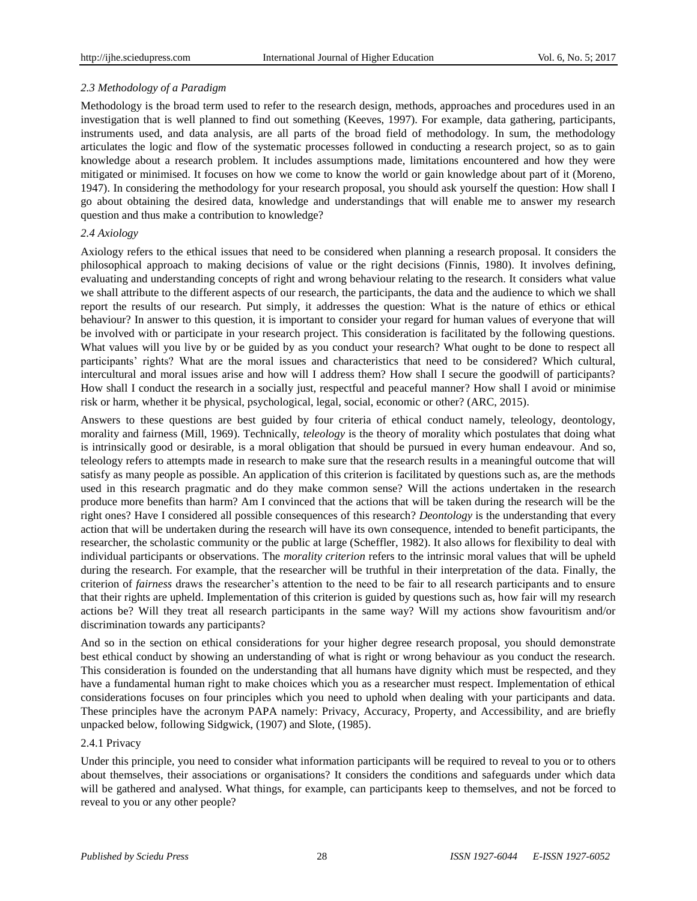# *2.3 Methodology of a Paradigm*

Methodology is the broad term used to refer to the research design, methods, approaches and procedures used in an investigation that is well planned to find out something (Keeves, 1997). For example, data gathering, participants, instruments used, and data analysis, are all parts of the broad field of methodology. In sum, the methodology articulates the logic and flow of the systematic processes followed in conducting a research project, so as to gain knowledge about a research problem. It includes assumptions made, limitations encountered and how they were mitigated or minimised. It focuses on how we come to know the world or gain knowledge about part of it (Moreno, 1947). In considering the methodology for your research proposal, you should ask yourself the question: How shall I go about obtaining the desired data, knowledge and understandings that will enable me to answer my research question and thus make a contribution to knowledge?

# *2.4 Axiology*

Axiology refers to the ethical issues that need to be considered when planning a research proposal. It considers the philosophical approach to making decisions of value or the right decisions (Finnis, 1980). It involves defining, evaluating and understanding concepts of right and wrong behaviour relating to the research. It considers what value we shall attribute to the different aspects of our research, the participants, the data and the audience to which we shall report the results of our research. Put simply, it addresses the question: What is the nature of ethics or ethical behaviour? In answer to this question, it is important to consider your regard for human values of everyone that will be involved with or participate in your research project. This consideration is facilitated by the following questions. What values will you live by or be guided by as you conduct your research? What ought to be done to respect all participants' rights? What are the moral issues and characteristics that need to be considered? Which cultural, intercultural and moral issues arise and how will I address them? How shall I secure the goodwill of participants? How shall I conduct the research in a socially just, respectful and peaceful manner? How shall I avoid or minimise risk or harm, whether it be physical, psychological, legal, social, economic or other? (ARC, 2015).

Answers to these questions are best guided by four criteria of ethical conduct namely, teleology, deontology, morality and fairness (Mill, 1969). Technically, *teleology* is the theory of morality which postulates that doing what is intrinsically good or desirable, is a moral obligation that should be pursued in every human endeavour. And so, teleology refers to attempts made in research to make sure that the research results in a meaningful outcome that will satisfy as many people as possible. An application of this criterion is facilitated by questions such as, are the methods used in this research pragmatic and do they make common sense? Will the actions undertaken in the research produce more benefits than harm? Am I convinced that the actions that will be taken during the research will be the right ones? Have I considered all possible consequences of this research? *Deontology* is the understanding that every action that will be undertaken during the research will have its own consequence, intended to benefit participants, the researcher, the scholastic community or the public at large (Scheffler, 1982). It also allows for flexibility to deal with individual participants or observations. The *morality criterion* refers to the intrinsic moral values that will be upheld during the research. For example, that the researcher will be truthful in their interpretation of the data. Finally, the criterion of *fairness* draws the researcher's attention to the need to be fair to all research participants and to ensure that their rights are upheld. Implementation of this criterion is guided by questions such as, how fair will my research actions be? Will they treat all research participants in the same way? Will my actions show favouritism and/or discrimination towards any participants?

And so in the section on ethical considerations for your higher degree research proposal, you should demonstrate best ethical conduct by showing an understanding of what is right or wrong behaviour as you conduct the research. This consideration is founded on the understanding that all humans have dignity which must be respected, and they have a fundamental human right to make choices which you as a researcher must respect. Implementation of ethical considerations focuses on four principles which you need to uphold when dealing with your participants and data. These principles have the acronym PAPA namely: Privacy, Accuracy, Property, and Accessibility, and are briefly unpacked below, following Sidgwick, (1907) and Slote, (1985).

# 2.4.1 Privacy

Under this principle, you need to consider what information participants will be required to reveal to you or to others about themselves, their associations or organisations? It considers the conditions and safeguards under which data will be gathered and analysed. What things, for example, can participants keep to themselves, and not be forced to reveal to you or any other people?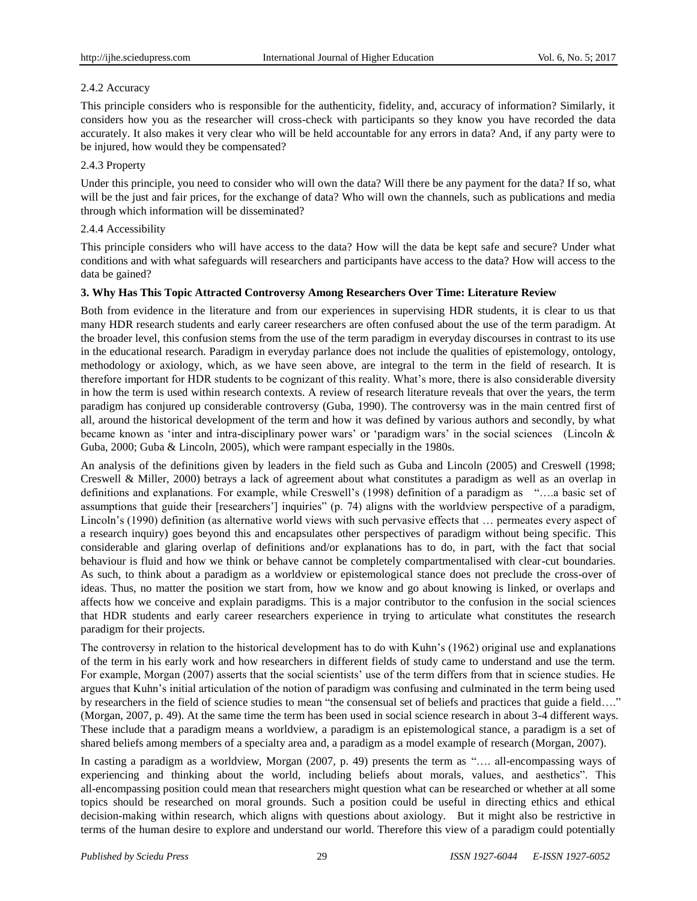# 2.4.2 Accuracy

This principle considers who is responsible for the authenticity, fidelity, and, accuracy of information? Similarly, it considers how you as the researcher will cross-check with participants so they know you have recorded the data accurately. It also makes it very clear who will be held accountable for any errors in data? And, if any party were to be injured, how would they be compensated?

# 2.4.3 Property

Under this principle, you need to consider who will own the data? Will there be any payment for the data? If so, what will be the just and fair prices, for the exchange of data? Who will own the channels, such as publications and media through which information will be disseminated?

# 2.4.4 Accessibility

This principle considers who will have access to the data? How will the data be kept safe and secure? Under what conditions and with what safeguards will researchers and participants have access to the data? How will access to the data be gained?

# **3. Why Has This Topic Attracted Controversy Among Researchers Over Time: Literature Review**

Both from evidence in the literature and from our experiences in supervising HDR students, it is clear to us that many HDR research students and early career researchers are often confused about the use of the term paradigm. At the broader level, this confusion stems from the use of the term paradigm in everyday discourses in contrast to its use in the educational research. Paradigm in everyday parlance does not include the qualities of epistemology, ontology, methodology or axiology, which, as we have seen above, are integral to the term in the field of research. It is therefore important for HDR students to be cognizant of this reality. What's more, there is also considerable diversity in how the term is used within research contexts. A review of research literature reveals that over the years, the term paradigm has conjured up considerable controversy (Guba, 1990). The controversy was in the main centred first of all, around the historical development of the term and how it was defined by various authors and secondly, by what became known as 'inter and intra-disciplinary power wars' or 'paradigm wars' in the social sciences (Lincoln & Guba, 2000; Guba & Lincoln, 2005), which were rampant especially in the 1980s.

An analysis of the definitions given by leaders in the field such as Guba and Lincoln (2005) and Creswell (1998; Creswell & Miller, 2000) betrays a lack of agreement about what constitutes a paradigm as well as an overlap in definitions and explanations. For example, while Creswell's (1998) definition of a paradigm as "….a basic set of assumptions that guide their [researchers'] inquiries" (p. 74) aligns with the worldview perspective of a paradigm, Lincoln's (1990) definition (as alternative world views with such pervasive effects that … permeates every aspect of a research inquiry) goes beyond this and encapsulates other perspectives of paradigm without being specific. This considerable and glaring overlap of definitions and/or explanations has to do, in part, with the fact that social behaviour is fluid and how we think or behave cannot be completely compartmentalised with clear-cut boundaries. As such, to think about a paradigm as a worldview or epistemological stance does not preclude the cross-over of ideas. Thus, no matter the position we start from, how we know and go about knowing is linked, or overlaps and affects how we conceive and explain paradigms. This is a major contributor to the confusion in the social sciences that HDR students and early career researchers experience in trying to articulate what constitutes the research paradigm for their projects.

The controversy in relation to the historical development has to do with Kuhn's (1962) original use and explanations of the term in his early work and how researchers in different fields of study came to understand and use the term. For example, Morgan (2007) asserts that the social scientists' use of the term differs from that in science studies. He argues that Kuhn's initial articulation of the notion of paradigm was confusing and culminated in the term being used by researchers in the field of science studies to mean "the consensual set of beliefs and practices that guide a field…." (Morgan, 2007, p. 49). At the same time the term has been used in social science research in about 3-4 different ways. These include that a paradigm means a worldview, a paradigm is an epistemological stance, a paradigm is a set of shared beliefs among members of a specialty area and, a paradigm as a model example of research (Morgan, 2007).

In casting a paradigm as a worldview, Morgan (2007, p. 49) presents the term as "…. all-encompassing ways of experiencing and thinking about the world, including beliefs about morals, values, and aesthetics". This all-encompassing position could mean that researchers might question what can be researched or whether at all some topics should be researched on moral grounds. Such a position could be useful in directing ethics and ethical decision-making within research, which aligns with questions about axiology. But it might also be restrictive in terms of the human desire to explore and understand our world. Therefore this view of a paradigm could potentially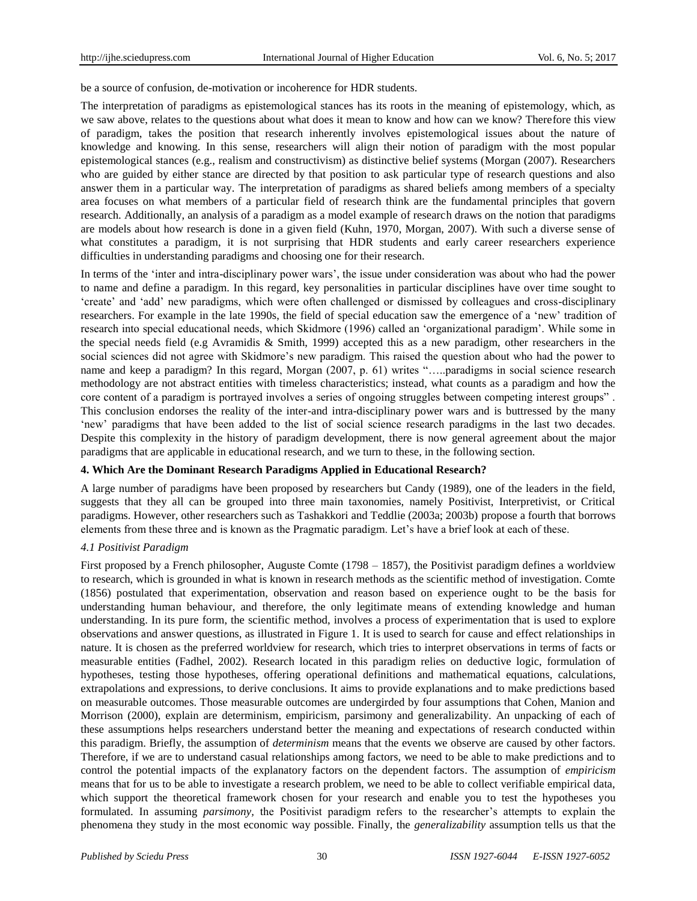be a source of confusion, de-motivation or incoherence for HDR students.

The interpretation of paradigms as epistemological stances has its roots in the meaning of epistemology, which, as we saw above, relates to the questions about what does it mean to know and how can we know? Therefore this view of paradigm, takes the position that research inherently involves epistemological issues about the nature of knowledge and knowing. In this sense, researchers will align their notion of paradigm with the most popular epistemological stances (e.g., realism and constructivism) as distinctive belief systems (Morgan (2007). Researchers who are guided by either stance are directed by that position to ask particular type of research questions and also answer them in a particular way. The interpretation of paradigms as shared beliefs among members of a specialty area focuses on what members of a particular field of research think are the fundamental principles that govern research. Additionally, an analysis of a paradigm as a model example of research draws on the notion that paradigms are models about how research is done in a given field (Kuhn, 1970, Morgan, 2007). With such a diverse sense of what constitutes a paradigm, it is not surprising that HDR students and early career researchers experience difficulties in understanding paradigms and choosing one for their research.

In terms of the 'inter and intra-disciplinary power wars', the issue under consideration was about who had the power to name and define a paradigm. In this regard, key personalities in particular disciplines have over time sought to 'create' and 'add' new paradigms, which were often challenged or dismissed by colleagues and cross-disciplinary researchers. For example in the late 1990s, the field of special education saw the emergence of a 'new' tradition of research into special educational needs, which Skidmore (1996) called an 'organizational paradigm'. While some in the special needs field (e.g Avramidis & Smith, 1999) accepted this as a new paradigm, other researchers in the social sciences did not agree with Skidmore's new paradigm. This raised the question about who had the power to name and keep a paradigm? In this regard, Morgan (2007, p. 61) writes "…..paradigms in social science research methodology are not abstract entities with timeless characteristics; instead, what counts as a paradigm and how the core content of a paradigm is portrayed involves a series of ongoing struggles between competing interest groups" . This conclusion endorses the reality of the inter-and intra-disciplinary power wars and is buttressed by the many 'new' paradigms that have been added to the list of social science research paradigms in the last two decades. Despite this complexity in the history of paradigm development, there is now general agreement about the major paradigms that are applicable in educational research, and we turn to these, in the following section.

#### **4. Which Are the Dominant Research Paradigms Applied in Educational Research?**

A large number of paradigms have been proposed by researchers but Candy (1989), one of the leaders in the field, suggests that they all can be grouped into three main taxonomies, namely Positivist, Interpretivist, or Critical paradigms. However, other researchers such as Tashakkori and Teddlie (2003a; 2003b) propose a fourth that borrows elements from these three and is known as the Pragmatic paradigm. Let's have a brief look at each of these.

# *4.1 Positivist Paradigm*

First proposed by a French philosopher, Auguste Comte (1798 – 1857), the Positivist paradigm defines a worldview to research, which is grounded in what is known in research methods as the scientific method of investigation. Comte (1856) postulated that experimentation, observation and reason based on experience ought to be the basis for understanding human behaviour, and therefore, the only legitimate means of extending knowledge and human understanding. In its pure form, the scientific method, involves a process of experimentation that is used to explore observations and answer questions, as illustrated in Figure 1. It is used to search for cause and effect relationships in nature. It is chosen as the preferred worldview for research, which tries to interpret observations in terms of facts or measurable entities (Fadhel, 2002). Research located in this paradigm relies on deductive logic, formulation of hypotheses, testing those hypotheses, offering operational definitions and mathematical equations, calculations, extrapolations and expressions, to derive conclusions. It aims to provide explanations and to make predictions based on measurable outcomes. Those measurable outcomes are undergirded by four assumptions that Cohen, Manion and Morrison (2000), explain are determinism, empiricism, parsimony and generalizability. An unpacking of each of these assumptions helps researchers understand better the meaning and expectations of research conducted within this paradigm. Briefly, the assumption of *determinism* means that the events we observe are caused by other factors. Therefore, if we are to understand casual relationships among factors, we need to be able to make predictions and to control the potential impacts of the explanatory factors on the dependent factors. The assumption of *empiricism* means that for us to be able to investigate a research problem, we need to be able to collect verifiable empirical data, which support the theoretical framework chosen for your research and enable you to test the hypotheses you formulated. In assuming *parsimony,* the Positivist paradigm refers to the researcher's attempts to explain the phenomena they study in the most economic way possible. Finally, the *generalizability* assumption tells us that the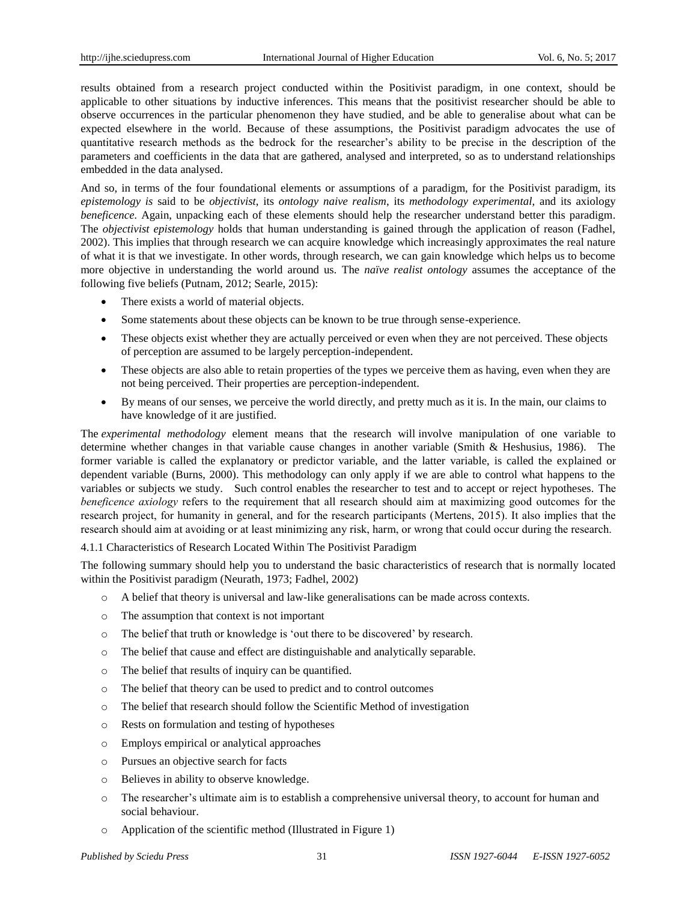results obtained from a research project conducted within the Positivist paradigm, in one context, should be applicable to other situations by inductive inferences. This means that the positivist researcher should be able to observe occurrences in the particular phenomenon they have studied, and be able to generalise about what can be expected elsewhere in the world. Because of these assumptions, the Positivist paradigm advocates the use of quantitative research methods as the bedrock for the researcher's ability to be precise in the description of the parameters and coefficients in the data that are gathered, analysed and interpreted, so as to understand relationships embedded in the data analysed.

And so, in terms of the four foundational elements or assumptions of a paradigm, for the Positivist paradigm, its *epistemology is* said to be *objectivist*, its *ontology naive realism*, its *methodology experimental*, and its axiology *beneficence.* Again, unpacking each of these elements should help the researcher understand better this paradigm*.* The *objectivist epistemology* holds that human understanding is gained through the application of reason (Fadhel, 2002). This implies that through research we can acquire knowledge which increasingly approximates the real nature of what it is that we investigate. In other words, through research, we can gain knowledge which helps us to become more objective in understanding the world around us. The *naïve realist ontology* assumes the acceptance of the following five beliefs (Putnam, 2012; Searle, 2015):

- There exists a world of material objects.
- Some statements about these objects can be known to be true through sense-experience.
- These objects exist whether they are actually perceived or even when they are not perceived. These objects of perception are assumed to be largely perception-independent.
- These objects are also able to retain properties of the types we perceive them as having, even when they are not being perceived. Their properties are perception-independent.
- By means of our senses, we perceive the world directly, and pretty much as it is. In the main, our claims to have knowledge of it are justified.

The *experimental methodology* element means that the research will involve manipulation of one variable to determine whether changes in that variable cause changes in another variable (Smith & Heshusius, 1986). The former variable is called the explanatory or predictor variable, and the latter variable, is called the explained or dependent variable (Burns, 2000). This methodology can only apply if we are able to control what happens to the variables or subjects we study. Such control enables the researcher to test and to accept or reject hypotheses. The *beneficence axiology* refers to the requirement that all research should aim at maximizing good outcomes for the research project, for humanity in general, and for the research participants (Mertens, 2015). It also implies that the research should aim at avoiding or at least minimizing any risk, harm, or wrong that could occur during the research.

4.1.1 Characteristics of Research Located Within The Positivist Paradigm

The following summary should help you to understand the basic characteristics of research that is normally located within the Positivist paradigm (Neurath, 1973; Fadhel, 2002)

- o A belief that theory is universal and law-like generalisations can be made across contexts.
- o The assumption that context is not important
- o The belief that truth or knowledge is 'out there to be discovered' by research.
- o The belief that cause and effect are distinguishable and analytically separable.
- o The belief that results of inquiry can be quantified.
- o The belief that theory can be used to predict and to control outcomes
- o The belief that research should follow the Scientific Method of investigation
- o Rests on formulation and testing of hypotheses
- o Employs empirical or analytical approaches
- o Pursues an objective search for facts
- o Believes in ability to observe knowledge.
- o The researcher's ultimate aim is to establish a comprehensive universal theory, to account for human and social behaviour.
- o Application of the scientific method (Illustrated in Figure 1)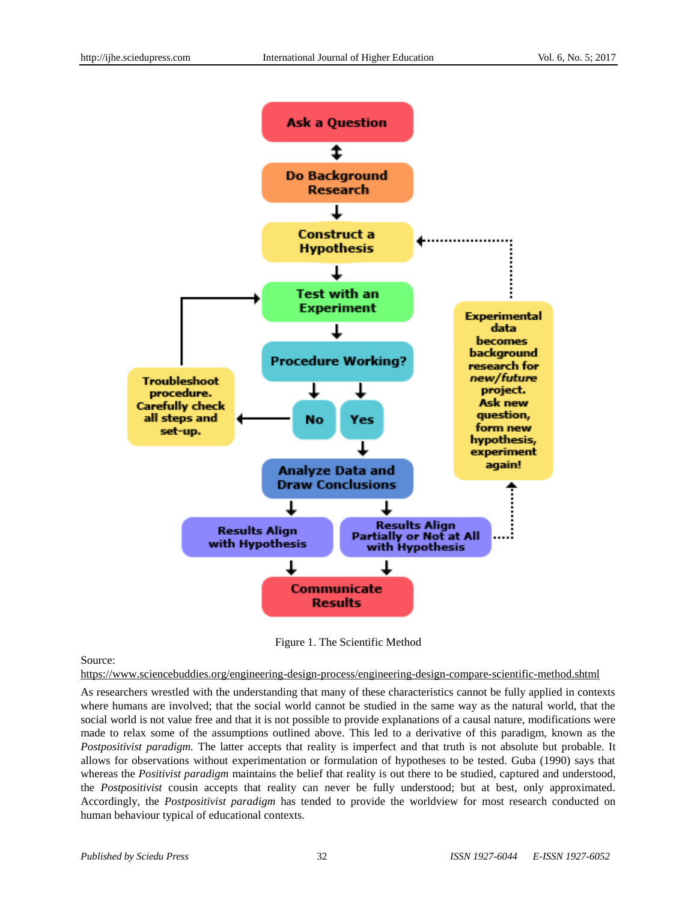

Figure 1. The Scientific Method

Source:

<https://www.sciencebuddies.org/engineering-design-process/engineering-design-compare-scientific-method.shtml>

As researchers wrestled with the understanding that many of these characteristics cannot be fully applied in contexts where humans are involved; that the social world cannot be studied in the same way as the natural world, that the social world is not value free and that it is not possible to provide explanations of a causal nature, modifications were made to relax some of the assumptions outlined above. This led to a derivative of this paradigm, known as the *Postpositivist paradigm.* The latter accepts that reality is imperfect and that truth is not absolute but probable. It allows for observations without experimentation or formulation of hypotheses to be tested. Guba (1990) says that whereas the *Positivist paradigm* maintains the belief that reality is out there to be studied, captured and understood, the *Postpositivist* cousin accepts that reality can never be fully understood; but at best, only approximated. Accordingly, the *Postpositivist paradigm* has tended to provide the worldview for most research conducted on human behaviour typical of educational contexts.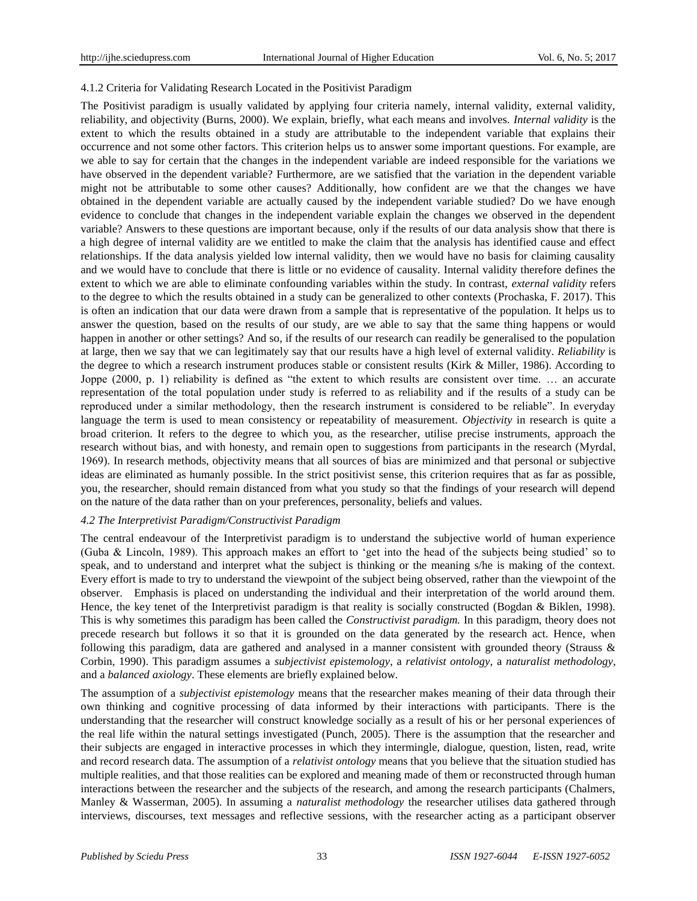#### 4.1.2 Criteria for Validating Research Located in the Positivist Paradigm

The Positivist paradigm is usually validated by applying four criteria namely, internal validity, external validity, reliability, and objectivity (Burns, 2000). We explain, briefly, what each means and involves. *Internal validity* is the extent to which the results obtained in a study are attributable to the independent variable that explains their occurrence and not some other factors. This criterion helps us to answer some important questions. For example, are we able to say for certain that the changes in the independent variable are indeed responsible for the variations we have observed in the dependent variable? Furthermore, are we satisfied that the variation in the dependent variable might not be attributable to some other causes? Additionally, how confident are we that the changes we have obtained in the dependent variable are actually caused by the independent variable studied? Do we have enough evidence to conclude that changes in the independent variable explain the changes we observed in the dependent variable? Answers to these questions are important because, only if the results of our data analysis show that there is a high degree of internal validity are we entitled to make the claim that the analysis has identified cause and effect relationships. If the data analysis yielded low internal validity, then we would have no basis for claiming causality and we would have to conclude that there is little or no evidence of causality. Internal validity therefore defines the extent to which we are able to eliminate confounding variables within the study. In contrast, *external validity* refers to the degree to which the results obtained in a study can be generalized to other contexts (Prochaska, F. 2017). This is often an indication that our data were drawn from a sample that is representative of the population. It helps us to answer the question, based on the results of our study, are we able to say that the same thing happens or would happen in another or other settings? And so, if the results of our research can readily be generalised to the population at large, then we say that we can legitimately say that our results have a high level of external validity. *Reliability* is the degree to which a research instrument produces stable or consistent results (Kirk & Miller, 1986). According to Joppe (2000, p. 1) reliability is defined as "the extent to which results are consistent over time. … an accurate representation of the total population under study is referred to as reliability and if the results of a study can be reproduced under a similar methodology, then the research instrument is considered to be reliable". In everyday language the term is used to mean consistency or repeatability of measurement. *Objectivity* in research is quite a broad criterion. It refers to the degree to which you, as the researcher, utilise precise instruments, approach the research without bias, and with honesty, and remain open to suggestions from participants in the research (Myrdal, 1969). In research methods, objectivity means that all sources of bias are minimized and that personal or subjective ideas are eliminated as humanly possible. In the strict positivist sense, this criterion requires that as far as possible, you, the researcher, should remain distanced from what you study so that the findings of your research will depend on the nature of the data rather than on your preferences, personality, beliefs and values.

#### *4.2 The Interpretivist Paradigm/Constructivist Paradigm*

The central endeavour of the Interpretivist paradigm is to understand the subjective world of human experience (Guba & Lincoln, 1989). This approach makes an effort to 'get into the head of the subjects being studied' so to speak, and to understand and interpret what the subject is thinking or the meaning s/he is making of the context. Every effort is made to try to understand the viewpoint of the subject being observed, rather than the viewpoint of the observer. Emphasis is placed on understanding the individual and their interpretation of the world around them. Hence, the key tenet of the Interpretivist paradigm is that reality is socially constructed (Bogdan & Biklen, 1998). This is why sometimes this paradigm has been called the *Constructivist paradigm.* In this paradigm, theory does not precede research but follows it so that it is grounded on the data generated by the research act. Hence, when following this paradigm, data are gathered and analysed in a manner consistent with grounded theory (Strauss & Corbin, 1990). This paradigm assumes a *subjectivist epistemology*, a *relativist ontology*, a *naturalist methodology*, and a *balanced axiology*. These elements are briefly explained below.

The assumption of a *subjectivist epistemology* means that the researcher makes meaning of their data through their own thinking and cognitive processing of data informed by their interactions with participants. There is the understanding that the researcher will construct knowledge socially as a result of his or her personal experiences of the real life within the natural settings investigated (Punch, 2005). There is the assumption that the researcher and their subjects are engaged in interactive processes in which they intermingle, dialogue, question, listen, read, write and record research data. The assumption of a *relativist ontology* means that you believe that the situation studied has multiple realities, and that those realities can be explored and meaning made of them or reconstructed through human interactions between the researcher and the subjects of the research, and among the research participants (Chalmers, Manley & Wasserman, 2005). In assuming a *naturalist methodology* the researcher utilises data gathered through interviews, discourses, text messages and reflective sessions, with the researcher acting as a participant observer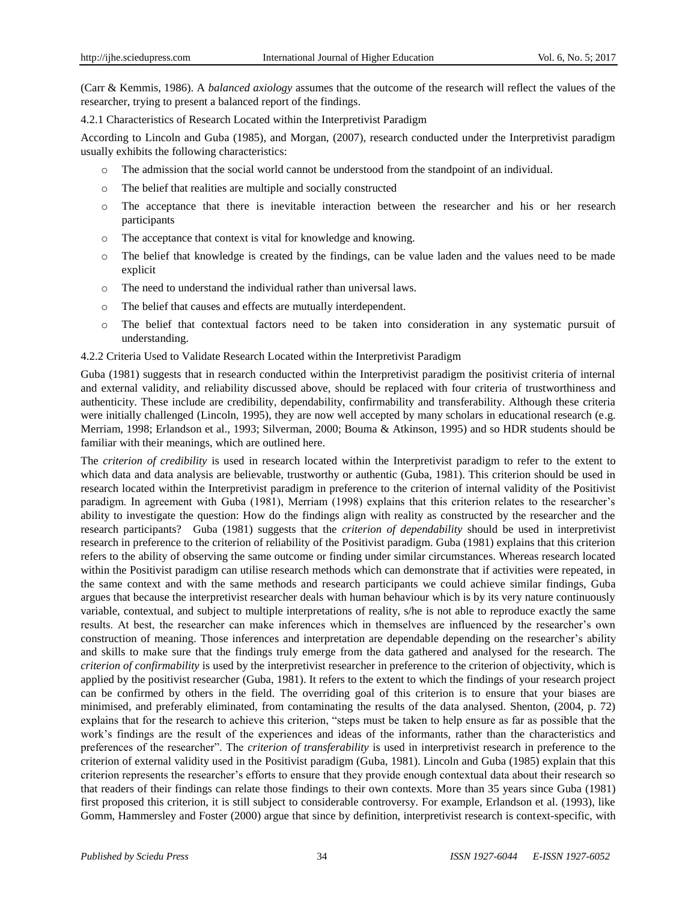(Carr & Kemmis, 1986). A *balanced axiology* assumes that the outcome of the research will reflect the values of the researcher, trying to present a balanced report of the findings.

4.2.1 Characteristics of Research Located within the Interpretivist Paradigm

According to Lincoln and Guba (1985), and Morgan, (2007), research conducted under the Interpretivist paradigm usually exhibits the following characteristics:

- o The admission that the social world cannot be understood from the standpoint of an individual.
- o The belief that realities are multiple and socially constructed
- o The acceptance that there is inevitable interaction between the researcher and his or her research participants
- o The acceptance that context is vital for knowledge and knowing.
- o The belief that knowledge is created by the findings, can be value laden and the values need to be made explicit
- o The need to understand the individual rather than universal laws.
- o The belief that causes and effects are mutually interdependent.
- o The belief that contextual factors need to be taken into consideration in any systematic pursuit of understanding.

4.2.2 Criteria Used to Validate Research Located within the Interpretivist Paradigm

Guba (1981) suggests that in research conducted within the Interpretivist paradigm the positivist criteria of internal and external validity, and reliability discussed above, should be replaced with four criteria of trustworthiness and authenticity. These include are credibility, dependability, confirmability and transferability. Although these criteria were initially challenged (Lincoln, 1995), they are now well accepted by many scholars in educational research (e.g. Merriam, 1998; Erlandson et al., 1993; Silverman, 2000; Bouma & Atkinson, 1995) and so HDR students should be familiar with their meanings, which are outlined here.

The *criterion of credibility* is used in research located within the Interpretivist paradigm to refer to the extent to which data and data analysis are believable, trustworthy or authentic (Guba, 1981). This criterion should be used in research located within the Interpretivist paradigm in preference to the criterion of internal validity of the Positivist paradigm. In agreement with Guba (1981), Merriam (1998) explains that this criterion relates to the researcher's ability to investigate the question: How do the findings align with reality as constructed by the researcher and the research participants? Guba (1981) suggests that the *criterion of dependability* should be used in interpretivist research in preference to the criterion of reliability of the Positivist paradigm. Guba (1981) explains that this criterion refers to the ability of observing the same outcome or finding under similar circumstances. Whereas research located within the Positivist paradigm can utilise research methods which can demonstrate that if activities were repeated, in the same context and with the same methods and research participants we could achieve similar findings, Guba argues that because the interpretivist researcher deals with human behaviour which is by its very nature continuously variable, contextual, and subject to multiple interpretations of reality, s/he is not able to reproduce exactly the same results. At best, the researcher can make inferences which in themselves are influenced by the researcher's own construction of meaning. Those inferences and interpretation are dependable depending on the researcher's ability and skills to make sure that the findings truly emerge from the data gathered and analysed for the research. The *criterion of confirmability* is used by the interpretivist researcher in preference to the criterion of objectivity, which is applied by the positivist researcher (Guba, 1981). It refers to the extent to which the findings of your research project can be confirmed by others in the field. The overriding goal of this criterion is to ensure that your biases are minimised, and preferably eliminated, from contaminating the results of the data analysed. Shenton, (2004, p. 72) explains that for the research to achieve this criterion, "steps must be taken to help ensure as far as possible that the work's findings are the result of the experiences and ideas of the informants, rather than the characteristics and preferences of the researcher". The *criterion of transferability* is used in interpretivist research in preference to the criterion of external validity used in the Positivist paradigm (Guba, 1981). Lincoln and Guba (1985) explain that this criterion represents the researcher's efforts to ensure that they provide enough contextual data about their research so that readers of their findings can relate those findings to their own contexts. More than 35 years since Guba (1981) first proposed this criterion, it is still subject to considerable controversy. For example, Erlandson et al. (1993), like Gomm, Hammersley and Foster (2000) argue that since by definition, interpretivist research is context-specific, with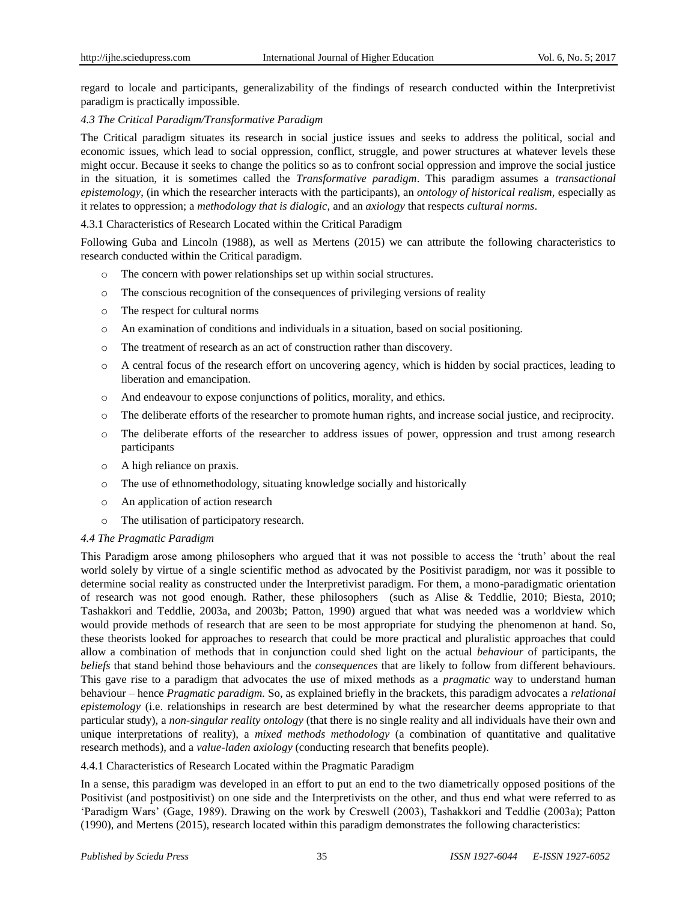regard to locale and participants, generalizability of the findings of research conducted within the Interpretivist paradigm is practically impossible.

#### *4.3 The Critical Paradigm/Transformative Paradigm*

The Critical paradigm situates its research in social justice issues and seeks to address the political, social and economic issues, which lead to social oppression, conflict, struggle, and power structures at whatever levels these might occur. Because it seeks to change the politics so as to confront social oppression and improve the social justice in the situation, it is sometimes called the *Transformative paradigm*. This paradigm assumes a *transactional epistemology*, (in which the researcher interacts with the participants), an *ontology of historical realism,* especially as it relates to oppression; a *methodology that is dialogic,* and an *axiology* that respects *cultural norms*.

#### 4.3.1 Characteristics of Research Located within the Critical Paradigm

Following Guba and Lincoln (1988), as well as Mertens (2015) we can attribute the following characteristics to research conducted within the Critical paradigm.

- o The concern with power relationships set up within social structures.
- o The conscious recognition of the consequences of privileging versions of reality
- o The respect for cultural norms
- $\circ$  An examination of conditions and individuals in a situation, based on social positioning.
- o The treatment of research as an act of construction rather than discovery.
- o A central focus of the research effort on uncovering agency, which is hidden by social practices, leading to liberation and emancipation.
- o And endeavour to expose conjunctions of politics, morality, and ethics.
- o The deliberate efforts of the researcher to promote human rights, and increase social justice, and reciprocity.
- o The deliberate efforts of the researcher to address issues of power, oppression and trust among research participants
- o A high reliance on praxis.
- o The use of ethnomethodology, situating knowledge socially and historically
- o An application of action research
- o The utilisation of participatory research.

# *4.4 The Pragmatic Paradigm*

This Paradigm arose among philosophers who argued that it was not possible to access the 'truth' about the real world solely by virtue of a single scientific method as advocated by the Positivist paradigm, nor was it possible to determine social reality as constructed under the Interpretivist paradigm. For them, a mono-paradigmatic orientation of research was not good enough. Rather, these philosophers (such as Alise & Teddlie, 2010; Biesta, 2010; Tashakkori and Teddlie, 2003a, and 2003b; Patton, 1990) argued that what was needed was a worldview which would provide methods of research that are seen to be most appropriate for studying the phenomenon at hand. So, these theorists looked for approaches to research that could be more practical and pluralistic approaches that could allow a combination of methods that in conjunction could shed light on the actual *behaviour* of participants, the *beliefs* that stand behind those behaviours and the *consequences* that are likely to follow from different behaviours. This gave rise to a paradigm that advocates the use of mixed methods as a *pragmatic* way to understand human behaviour – hence *Pragmatic paradigm.* So, as explained briefly in the brackets, this paradigm advocates a *relational epistemology* (i.e. relationships in research are best determined by what the researcher deems appropriate to that particular study), a *non-singular reality ontology* (that there is no single reality and all individuals have their own and unique interpretations of reality), a *mixed methods methodology* (a combination of quantitative and qualitative research methods), and a *value-laden axiology* (conducting research that benefits people).

4.4.1 Characteristics of Research Located within the Pragmatic Paradigm

In a sense, this paradigm was developed in an effort to put an end to the two diametrically opposed positions of the Positivist (and postpositivist) on one side and the Interpretivists on the other, and thus end what were referred to as 'Paradigm Wars' (Gage, 1989). Drawing on the work by Creswell (2003), Tashakkori and Teddlie (2003a); Patton (1990), and Mertens (2015), research located within this paradigm demonstrates the following characteristics: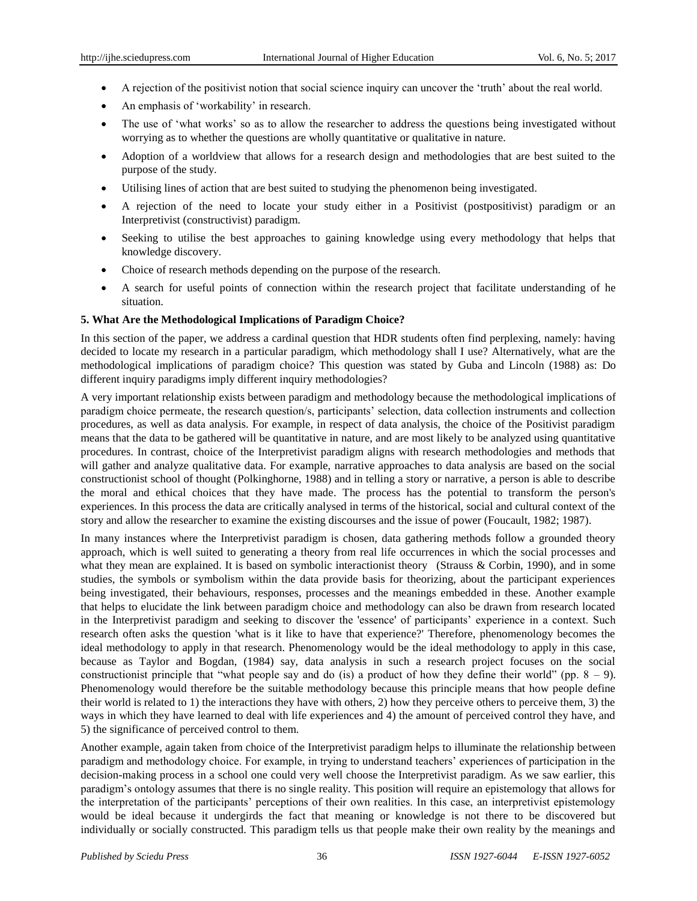- A rejection of the positivist notion that social science inquiry can uncover the 'truth' about the real world.
- An emphasis of 'workability' in research.
- The use of 'what works' so as to allow the researcher to address the questions being investigated without worrying as to whether the questions are wholly quantitative or qualitative in nature.
- Adoption of a worldview that allows for a research design and methodologies that are best suited to the purpose of the study.
- Utilising lines of action that are best suited to studying the phenomenon being investigated.
- A rejection of the need to locate your study either in a Positivist (postpositivist) paradigm or an Interpretivist (constructivist) paradigm.
- Seeking to utilise the best approaches to gaining knowledge using every methodology that helps that knowledge discovery.
- Choice of research methods depending on the purpose of the research.
- A search for useful points of connection within the research project that facilitate understanding of he situation.

# **5. What Are the Methodological Implications of Paradigm Choice?**

In this section of the paper, we address a cardinal question that HDR students often find perplexing, namely: having decided to locate my research in a particular paradigm, which methodology shall I use? Alternatively, what are the methodological implications of paradigm choice? This question was stated by Guba and Lincoln (1988) as: Do different inquiry paradigms imply different inquiry methodologies?

A very important relationship exists between paradigm and methodology because the methodological implications of paradigm choice permeate, the research question/s, participants' selection, data collection instruments and collection procedures, as well as data analysis. For example, in respect of data analysis, the choice of the Positivist paradigm means that the data to be gathered will be quantitative in nature, and are most likely to be analyzed using quantitative procedures. In contrast, choice of the Interpretivist paradigm aligns with research methodologies and methods that will gather and analyze qualitative data. For example, narrative approaches to data analysis are based on the social constructionist school of thought (Polkinghorne, 1988) and in telling a story or narrative, a person is able to describe the moral and ethical choices that they have made. The process has the potential to transform the person's experiences. In this process the data are critically analysed in terms of the historical, social and cultural context of the story and allow the researcher to examine the existing discourses and the issue of power (Foucault, 1982; 1987).

In many instances where the Interpretivist paradigm is chosen, data gathering methods follow a grounded theory approach, which is well suited to generating a theory from real life occurrences in which the social processes and what they mean are explained. It is based on symbolic interactionist theory (Strauss & Corbin, 1990), and in some studies, the symbols or symbolism within the data provide basis for theorizing, about the participant experiences being investigated, their behaviours, responses, processes and the meanings embedded in these. Another example that helps to elucidate the link between paradigm choice and methodology can also be drawn from research located in the Interpretivist paradigm and seeking to discover the 'essence' of participants' experience in a context. Such research often asks the question 'what is it like to have that experience?' Therefore, phenomenology becomes the ideal methodology to apply in that research. Phenomenology would be the ideal methodology to apply in this case, because as Taylor and Bogdan, (1984) say, data analysis in such a research project focuses on the social constructionist principle that "what people say and do (is) a product of how they define their world" (pp.  $8 - 9$ ). Phenomenology would therefore be the suitable methodology because this principle means that how people define their world is related to 1) the interactions they have with others, 2) how they perceive others to perceive them, 3) the ways in which they have learned to deal with life experiences and 4) the amount of perceived control they have, and 5) the significance of perceived control to them.

Another example, again taken from choice of the Interpretivist paradigm helps to illuminate the relationship between paradigm and methodology choice. For example, in trying to understand teachers' experiences of participation in the decision-making process in a school one could very well choose the Interpretivist paradigm. As we saw earlier, this paradigm's ontology assumes that there is no single reality. This position will require an epistemology that allows for the interpretation of the participants' perceptions of their own realities. In this case, an interpretivist epistemology would be ideal because it undergirds the fact that meaning or knowledge is not there to be discovered but individually or socially constructed. This paradigm tells us that people make their own reality by the meanings and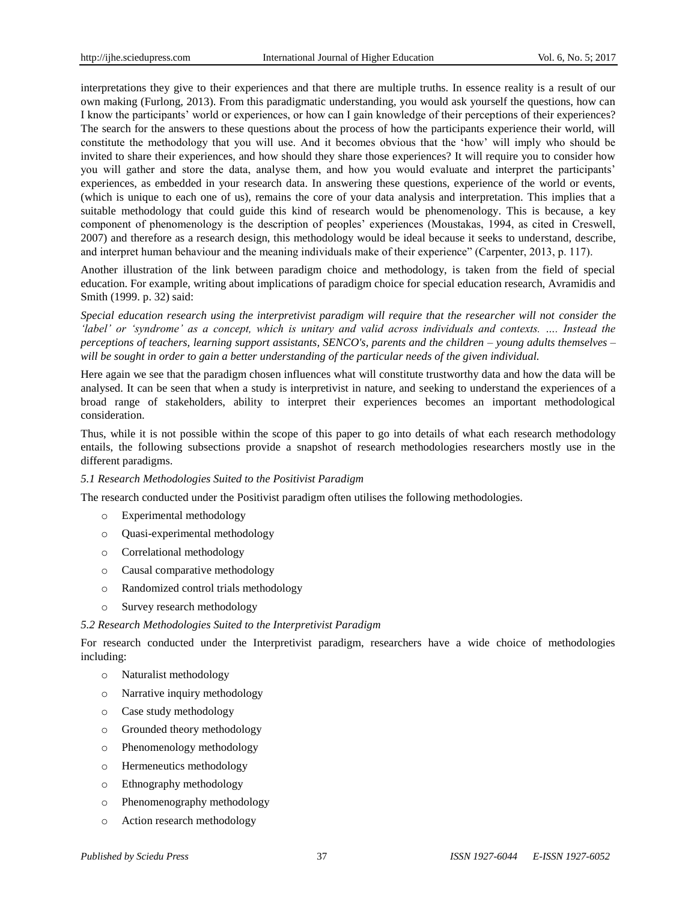interpretations they give to their experiences and that there are multiple truths. In essence reality is a result of our own making (Furlong, 2013). From this paradigmatic understanding, you would ask yourself the questions, how can I know the participants' world or experiences, or how can I gain knowledge of their perceptions of their experiences? The search for the answers to these questions about the process of how the participants experience their world, will constitute the methodology that you will use. And it becomes obvious that the 'how' will imply who should be invited to share their experiences, and how should they share those experiences? It will require you to consider how you will gather and store the data, analyse them, and how you would evaluate and interpret the participants' experiences, as embedded in your research data. In answering these questions, experience of the world or events, (which is unique to each one of us), remains the core of your data analysis and interpretation. This implies that a suitable methodology that could guide this kind of research would be phenomenology. This is because, a key component of phenomenology is the description of peoples' experiences (Moustakas, 1994, as cited in Creswell, 2007) and therefore as a research design, this methodology would be ideal because it seeks to understand, describe, and interpret human behaviour and the meaning individuals make of their experience" (Carpenter, 2013, p. 117).

Another illustration of the link between paradigm choice and methodology, is taken from the field of special education. For example, writing about implications of paradigm choice for special education research, Avramidis and Smith (1999. p. 32) said:

*Special education research using the interpretivist paradigm will require that the researcher will not consider the 'label' or 'syndrome' as a concept, which is unitary and valid across individuals and contexts. …. Instead the perceptions of teachers, learning support assistants, SENCO's, parents and the children – young adults themselves – will be sought in order to gain a better understanding of the particular needs of the given individual.*

Here again we see that the paradigm chosen influences what will constitute trustworthy data and how the data will be analysed. It can be seen that when a study is interpretivist in nature, and seeking to understand the experiences of a broad range of stakeholders, ability to interpret their experiences becomes an important methodological consideration.

Thus, while it is not possible within the scope of this paper to go into details of what each research methodology entails, the following subsections provide a snapshot of research methodologies researchers mostly use in the different paradigms.

#### *5.1 Research Methodologies Suited to the Positivist Paradigm*

The research conducted under the Positivist paradigm often utilises the following methodologies.

- o Experimental methodology
- o Quasi-experimental methodology
- o Correlational methodology
- o Causal comparative methodology
- o Randomized control trials methodology
- o Survey research methodology

#### *5.2 Research Methodologies Suited to the Interpretivist Paradigm*

For research conducted under the Interpretivist paradigm, researchers have a wide choice of methodologies including:

- o Naturalist methodology
- o Narrative inquiry methodology
- o Case study methodology
- o Grounded theory methodology
- o Phenomenology methodology
- o Hermeneutics methodology
- o Ethnography methodology
- o Phenomenography methodology
- o Action research methodology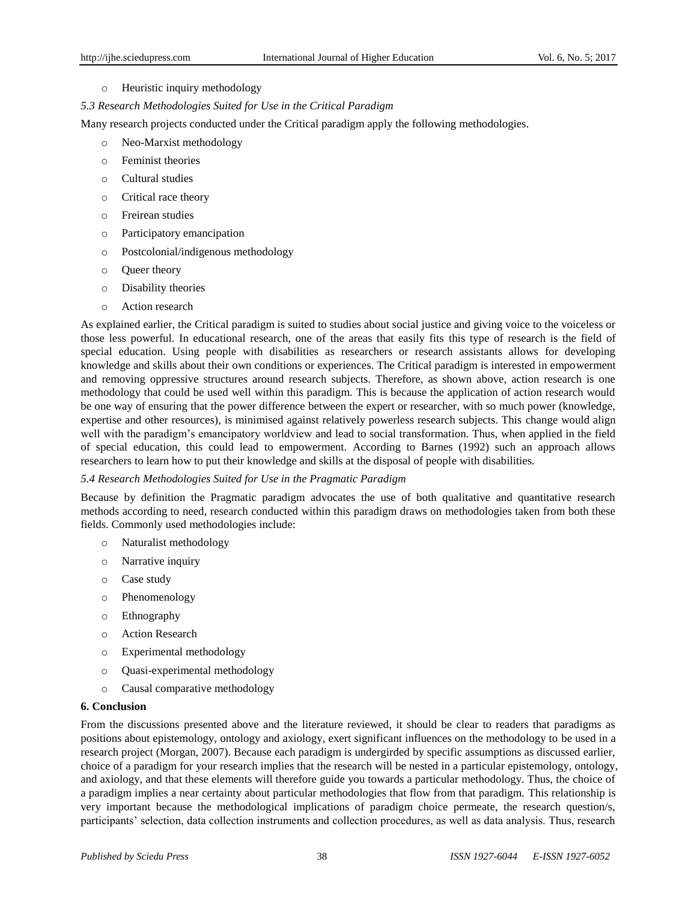o Heuristic inquiry methodology

# *5.3 Research Methodologies Suited for Use in the Critical Paradigm*

Many research projects conducted under the Critical paradigm apply the following methodologies.

- o Neo-Marxist methodology
- o Feminist theories
- o Cultural studies
- o Critical race theory
- o Freirean studies
- o Participatory emancipation
- o Postcolonial/indigenous methodology
- o Queer theory
- o Disability theories
- o Action research

As explained earlier, the Critical paradigm is suited to studies about social justice and giving voice to the voiceless or those less powerful. In educational research, one of the areas that easily fits this type of research is the field of special education. Using people with disabilities as researchers or research assistants allows for developing knowledge and skills about their own conditions or experiences. The Critical paradigm is interested in empowerment and removing oppressive structures around research subjects. Therefore, as shown above, action research is one methodology that could be used well within this paradigm. This is because the application of action research would be one way of ensuring that the power difference between the expert or researcher, with so much power (knowledge, expertise and other resources), is minimised against relatively powerless research subjects. This change would align well with the paradigm's emancipatory worldview and lead to social transformation. Thus, when applied in the field of special education, this could lead to empowerment. According to Barnes (1992) such an approach allows researchers to learn how to put their knowledge and skills at the disposal of people with disabilities*.*

#### *5.4 Research Methodologies Suited for Use in the Pragmatic Paradigm*

Because by definition the Pragmatic paradigm advocates the use of both qualitative and quantitative research methods according to need, research conducted within this paradigm draws on methodologies taken from both these fields. Commonly used methodologies include:

- o Naturalist methodology
- o Narrative inquiry
- o Case study
- o Phenomenology
- o Ethnography
- o Action Research
- o Experimental methodology
- o Quasi-experimental methodology
- o Causal comparative methodology

#### **6. Conclusion**

From the discussions presented above and the literature reviewed, it should be clear to readers that paradigms as positions about epistemology, ontology and axiology, exert significant influences on the methodology to be used in a research project (Morgan, 2007). Because each paradigm is undergirded by specific assumptions as discussed earlier, choice of a paradigm for your research implies that the research will be nested in a particular epistemology, ontology, and axiology, and that these elements will therefore guide you towards a particular methodology. Thus, the choice of a paradigm implies a near certainty about particular methodologies that flow from that paradigm. This relationship is very important because the methodological implications of paradigm choice permeate, the research question/s, participants' selection, data collection instruments and collection procedures, as well as data analysis. Thus, research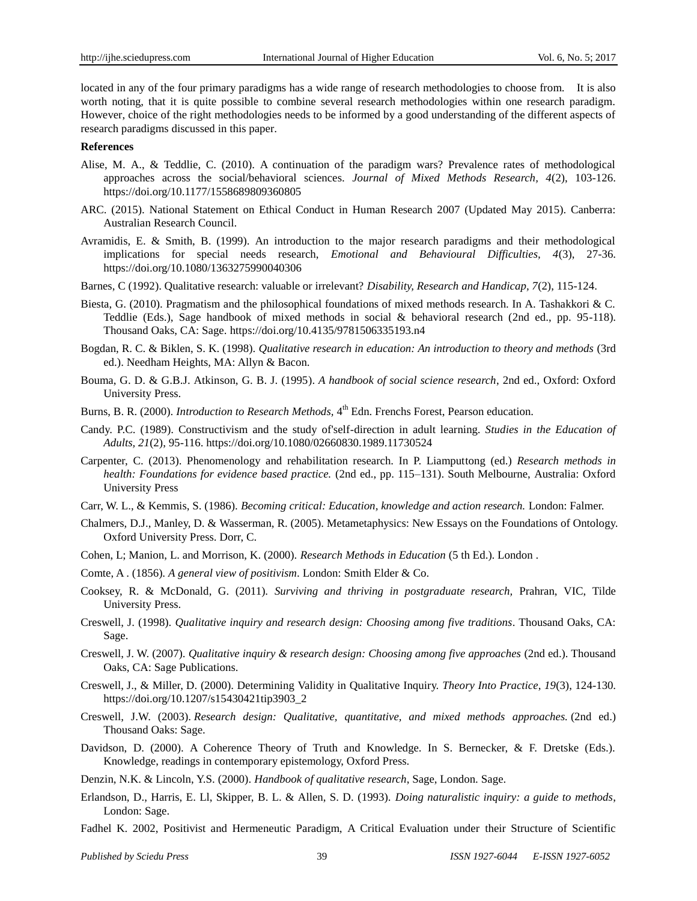located in any of the four primary paradigms has a wide range of research methodologies to choose from. It is also worth noting, that it is quite possible to combine several research methodologies within one research paradigm. However, choice of the right methodologies needs to be informed by a good understanding of the different aspects of research paradigms discussed in this paper.

#### **References**

- Alise, M. A., & Teddlie, C. (2010). A continuation of the paradigm wars? Prevalence rates of methodological approaches across the social/behavioral sciences. *Journal of Mixed Methods Research, 4*(2), 103-126. <https://doi.org/10.1177/1558689809360805>
- ARC. (2015). National Statement on Ethical Conduct in Human Research 2007 (Updated May 2015). Canberra: Australian Research Council.
- Avramidis, E. & Smith, B. (1999). An introduction to the major research paradigms and their methodological implications for special needs research, *Emotional and Behavioural Difficulties, 4*(3), 27-36. <https://doi.org/10.1080/1363275990040306>
- Barnes, C (1992). Qualitative research: valuable or irrelevant? *Disability, Research and Handicap, 7*(2), 115-124.
- Biesta, G. (2010). Pragmatism and the philosophical foundations of mixed methods research. In A. Tashakkori & C. Teddlie (Eds.), Sage handbook of mixed methods in social & behavioral research (2nd ed., pp. 95-118). Thousand Oaks, CA: Sage.<https://doi.org/10.4135/9781506335193.n4>
- Bogdan, R. C. & Biklen, S. K. (1998). *Qualitative research in education: An introduction to theory and methods* (3rd ed.). Needham Heights, MA: Allyn & Bacon.
- Bouma, G. D. & G.B.J. Atkinson, G. B. J. (1995). *A handbook of social science research*, 2nd ed., Oxford: Oxford University Press.
- Burns, B. R. (2000). *Introduction to Research Methods*, 4<sup>th</sup> Edn. Frenchs Forest, Pearson education.
- Candy. P.C. (1989). Constructivism and the study of'self-direction in adult learning. *Studies in the Education of Adults, 21*(2), 95-116. <https://doi.org/10.1080/02660830.1989.11730524>
- Carpenter, C. (2013). Phenomenology and rehabilitation research. In P. Liamputtong (ed.) *Research methods in health: Foundations for evidence based practice.* (2nd ed., pp. 115–131). South Melbourne, Australia: Oxford University Press
- Carr, W. L., & Kemmis, S. (1986). *Becoming critical: Education, knowledge and action research.* London: Falmer.
- Chalmers, D.J., Manley, D. & Wasserman, R. (2005). Metametaphysics: New Essays on the Foundations of Ontology. Oxford University Press. Dorr, C.
- Cohen, L; Manion, L. and Morrison, K. (2000). *Research Methods in Education* (5 th Ed.). London .
- Comte, A . (1856). *A general view of positivism*. London: Smith Elder & Co.
- Cooksey, R. & McDonald, G. (2011). *Surviving and thriving in postgraduate research,* Prahran, VIC, Tilde University Press.
- Creswell, J. (1998). *Qualitative inquiry and research design: Choosing among five traditions*. Thousand Oaks, CA: Sage.
- Creswell, J. W. (2007). *Qualitative inquiry & research design: Choosing among five approaches* (2nd ed.). Thousand Oaks, CA: Sage Publications.
- Creswell, J., & Miller, D. (2000). Determining Validity in Qualitative Inquiry. *Theory Into Practice*, *19*(3), 124-130. [https://doi.org/10.1207/s15430421tip3903\\_2](https://doi.org/10.1207/s15430421tip3903_2)
- Creswell, J.W. (2003). *Research design: Qualitative, quantitative, and mixed methods approaches.* (2nd ed.) Thousand Oaks: Sage.
- Davidson, D. (2000). A Coherence Theory of Truth and Knowledge. In S. Bernecker, & F. Dretske (Eds.). Knowledge, readings in contemporary epistemology, Oxford Press.
- Denzin, N.K. & Lincoln, Y.S. (2000). *Handbook of qualitative research*, Sage, London. Sage.
- Erlandson, D., Harris, E. Ll, Skipper, B. L. & Allen, S. D. (1993). *Doing naturalistic inquiry: a guide to methods*, London: Sage.
- Fadhel K. 2002, Positivist and Hermeneutic Paradigm, A Critical Evaluation under their Structure of Scientific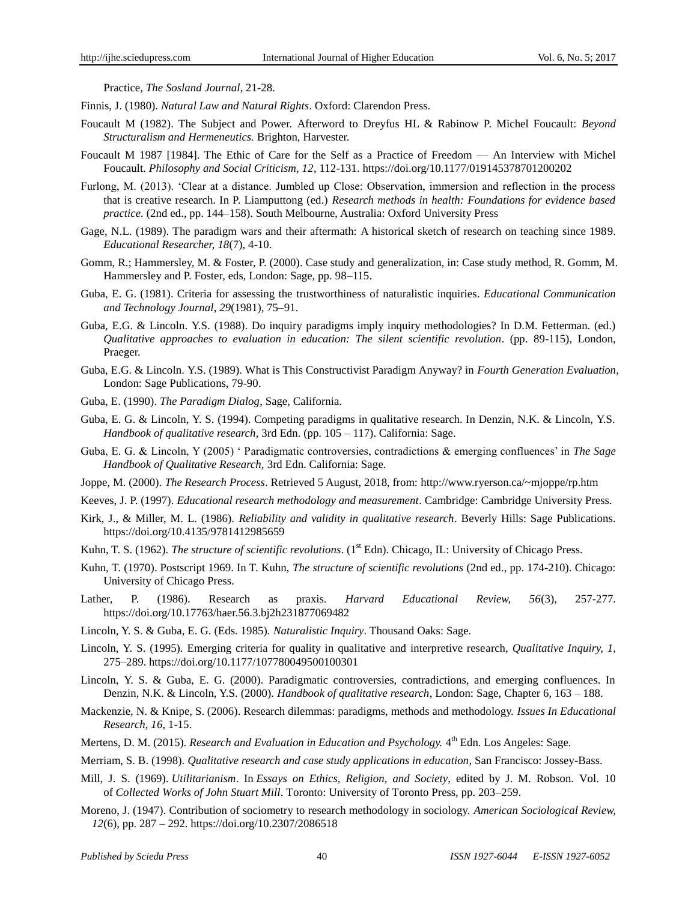Practice, *The Sosland Journal*, 21-28.

- Finnis, J. (1980). *Natural Law and Natural Rights*. Oxford: Clarendon Press.
- Foucault M (1982). The Subject and Power. Afterword to Dreyfus HL & Rabinow P. Michel Foucault: *Beyond Structuralism and Hermeneutics.* Brighton, Harvester.
- Foucault M 1987 [1984]. The Ethic of Care for the Self as a Practice of Freedom An Interview with Michel Foucault. *Philosophy and Social Criticism, 12*, 112-131. <https://doi.org/10.1177/019145378701200202>
- Furlong, M. (2013). 'Clear at a distance. Jumbled up Close: Observation, immersion and reflection in the process that is creative research. In P. Liamputtong (ed.) *Research methods in health: Foundations for evidence based practice.* (2nd ed., pp. 144–158). South Melbourne, Australia: Oxford University Press
- Gage, N.L. (1989). The paradigm wars and their aftermath: A historical sketch of research on teaching since 1989. *Educational Researcher, 18*(7), 4-10.
- Gomm, R.; Hammersley, M. & Foster, P. (2000). Case study and generalization, in: Case study method, R. Gomm, M. Hammersley and P. Foster, eds, London: Sage, pp. 98–115.
- Guba, E. G. (1981). Criteria for assessing the trustworthiness of naturalistic inquiries. *Educational Communication and Technology Journal, 29*(1981), 75–91.
- Guba, E.G. & Lincoln. Y.S. (1988). Do inquiry paradigms imply inquiry methodologies? In D.M. Fetterman. (ed.) *Qualitative approaches to evaluation in education: The silent scientific revolution*. (pp. 89-115), London, Praeger.
- Guba, E.G. & Lincoln. Y.S. (1989). What is This Constructivist Paradigm Anyway? in *Fourth Generation Evaluation*, London: Sage Publications, 79-90.
- Guba, E. (1990). *The Paradigm Dialog*, Sage, California.
- Guba, E. G. & Lincoln, Y. S. (1994). Competing paradigms in qualitative research. In Denzin, N.K. & Lincoln, Y.S. *Handbook of qualitative research*, 3rd Edn. (pp. 105 – 117). California: Sage.
- Guba, E. G. & Lincoln, Y (2005) ' Paradigmatic controversies, contradictions & emerging confluences' in *The Sage Handbook of Qualitative Research,* 3rd Edn. California: Sage.
- Joppe, M. (2000). *The Research Process*. Retrieved 5 August, 2018, from:<http://www.ryerson.ca/~mjoppe/rp.htm>
- Keeves, J. P. (1997). *Educational research methodology and measurement*. Cambridge: Cambridge University Press.
- Kirk, J., & Miller, M. L. (1986). *Reliability and validity in qualitative research*. Beverly Hills: Sage Publications. <https://doi.org/10.4135/9781412985659>
- Kuhn, T. S. (1962). *The structure of scientific revolutions*. (1<sup>st</sup> Edn). Chicago, IL: University of Chicago Press.
- Kuhn, T. (1970). Postscript 1969. In T. Kuhn, *The structure of scientific revolutions* (2nd ed., pp. 174-210). Chicago: University of Chicago Press.
- Lather, P. (1986). Research as praxis. *Harvard Educational Review, 56*(3), 257-277. <https://doi.org/10.17763/haer.56.3.bj2h231877069482>
- Lincoln, Y. S. & Guba, E. G. (Eds. 1985). *Naturalistic Inquiry*. Thousand Oaks: Sage.
- Lincoln, Y. S. (1995). Emerging criteria for quality in qualitative and interpretive research, *Qualitative Inquiry, 1*, 275–289.<https://doi.org/10.1177/107780049500100301>
- Lincoln, Y. S. & Guba, E. G. (2000). Paradigmatic controversies, contradictions, and emerging confluences. In Denzin, N.K. & Lincoln, Y.S. (2000). *Handbook of qualitative research*, London: Sage, Chapter 6, 163 – 188.
- Mackenzie, N. & Knipe, S. (2006). Research dilemmas: paradigms, methods and methodology. *Issues In Educational Research, 16*, 1-15.
- Mertens, D. M. (2015). *Research and Evaluation in Education and Psychology*. 4<sup>th</sup> Edn. Los Angeles: Sage.
- Merriam, S. B. (1998). *Qualitative research and case study applications in education*, San Francisco: Jossey-Bass.
- Mill, J. S. (1969). *Utilitarianism*. In *Essays on Ethics, Religion, and Society*, edited by J. M. Robson. Vol. 10 of *Collected Works of John Stuart Mill*. Toronto: University of Toronto Press, pp. 203–259.
- Moreno, J. (1947). Contribution of sociometry to research methodology in sociology. *American Sociological Review, 12*(6), pp. 287 – 292[. https://doi.org/10.2307/2086518](https://doi.org/10.2307/2086518)